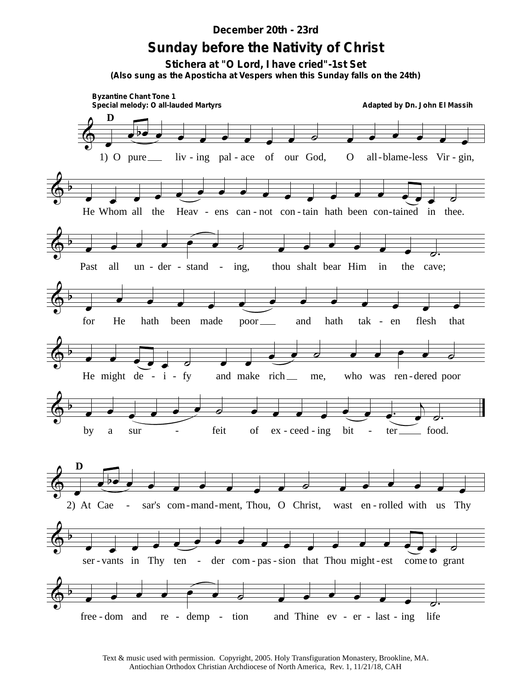## *December 20th - 23rd*

## **Sunday before the Nativity of Christ**

**Stichera at "O Lord, I have cried"-1st Set** *(Also sung as the Aposticha at Vespers when this Sunday falls on the 24th)*



Text & music used with permission. Copyright, 2005. Holy Transfiguration Monastery, Brookline, MA. Antiochian Orthodox Christian Archdiocese of North America, Rev. 1, 11/21/18, CAH